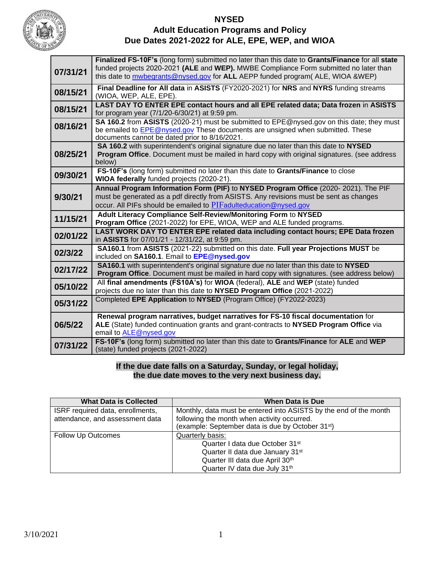

## **NYSED Adult Education Programs and Policy Due Dates 2021-2022 for ALE, EPE, WEP, and WIOA**

| 07/31/21 | Finalized FS-10F's (long form) submitted no later than this date to Grants/Finance for all state<br>funded projects 2020-2021 (ALE and WEP). MWBE Compliance Form submitted no later than<br>this date to mwbegrants@nysed.gov for ALL AEPP funded program( ALE, WIOA &WEP) |  |
|----------|-----------------------------------------------------------------------------------------------------------------------------------------------------------------------------------------------------------------------------------------------------------------------------|--|
| 08/15/21 | Final Deadline for All data in ASISTS (FY2020-2021) for NRS and NYRS funding streams<br>(WIOA, WEP, ALE, EPE).                                                                                                                                                              |  |
| 08/15/21 | LAST DAY TO ENTER EPE contact hours and all EPE related data; Data frozen in ASISTS<br>for program year (7/1/20-6/30/21) at 9:59 pm.                                                                                                                                        |  |
| 08/16/21 | SA 160.2 from ASISTS (2020-21) must be submitted to EPE@nysed.gov on this date; they must<br>be emailed to EPE@nysed.gov These documents are unsigned when submitted. These<br>documents cannot be dated prior to 8/16/2021.                                                |  |
| 08/25/21 | SA 160.2 with superintendent's original signature due no later than this date to NYSED<br><b>Program Office.</b> Document must be mailed in hard copy with original signatures. (see address<br>below)                                                                      |  |
| 09/30/21 | FS-10F's (long form) submitted no later than this date to Grants/Finance to close<br>WIOA federally funded projects (2020-21).                                                                                                                                              |  |
| 9/30/21  | Annual Program Information Form (PIF) to NYSED Program Office (2020-2021). The PIF<br>must be generated as a pdf directly from ASISTS. Any revisions must be sent as changes<br>occur. All PIFs should be emailed to PIF adulteducation @nysed.gov                          |  |
| 11/15/21 | Adult Literacy Compliance Self-Review/Monitoring Form to NYSED<br>Program Office (2021-2022) for EPE, WIOA, WEP and ALE funded programs.                                                                                                                                    |  |
| 02/01/22 | LAST WORK DAY TO ENTER EPE related data including contact hours; EPE Data frozen<br>in ASISTS for 07/01/21 - 12/31/22, at 9:59 pm.                                                                                                                                          |  |
| 02/3/22  | SA160.1 from ASISTS (2021-22) submitted on this date. Full year Projections MUST be<br>included on SA160.1. Email to EPE@nysed.gov                                                                                                                                          |  |
| 02/17/22 | <b>SA160.1</b> with superintendent's original signature due no later than this date to NYSED<br>Program Office. Document must be mailed in hard copy with signatures. (see address below)                                                                                   |  |
| 05/10/22 | All final amendments (FS10A's) for WIOA (federal), ALE and WEP (state) funded<br>projects due no later than this date to NYSED Program Office (2021-2022)                                                                                                                   |  |
| 05/31/22 | Completed EPE Application to NYSED (Program Office) (FY2022-2023)                                                                                                                                                                                                           |  |
| 06/5/22  | Renewal program narratives, budget narratives for FS-10 fiscal documentation for<br>ALE (State) funded continuation grants and grant-contracts to NYSED Program Office via<br>email to ALE@nysed.gov                                                                        |  |
| 07/31/22 | FS-10F's (long form) submitted no later than this date to Grants/Finance for ALE and WEP<br>(state) funded projects (2021-2022)                                                                                                                                             |  |

## **If the due date falls on a Saturday, Sunday, or legal holiday, the due date moves to the very next business day.**

| <b>What Data is Collected</b>    | <b>When Data is Due</b>                                           |
|----------------------------------|-------------------------------------------------------------------|
| ISRF required data, enrollments, | Monthly, data must be entered into ASISTS by the end of the month |
| attendance, and assessment data  | following the month when activity occurred.                       |
|                                  | (example: September data is due by October 31 <sup>st</sup> )     |
| Follow Up Outcomes               | Quarterly basis:                                                  |
|                                  | Quarter I data due October 31 <sup>st</sup>                       |
|                                  | Quarter II data due January 31 <sup>st</sup>                      |
|                                  | Quarter III data due April 30th                                   |
|                                  | Quarter IV data due July 31th                                     |